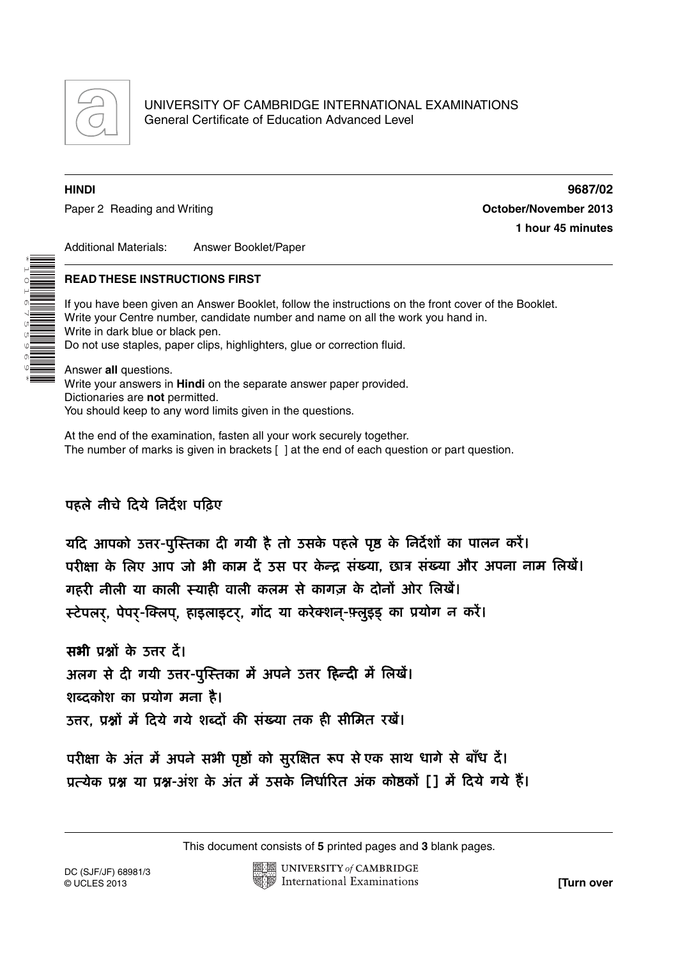

\*1016755969\*

Paper 2 Reading and Writing **Contract Contract Contract Contract Contract Contract Contract Contract Contract Contract Contract Contract Contract Contract Contract Contract Contract Contract Contract Contract Contract Cont** 

**HINDI 9687/02 1 hour 45 minutes**

Additional Materials: Answer Booklet/Paper

### **READ THESE INSTRUCTIONS FIRST**

If you have been given an Answer Booklet, follow the instructions on the front cover of the Booklet. Write your Centre number, candidate number and name on all the work you hand in. Write in dark blue or black pen. Do not use staples, paper clips, highlighters, glue or correction fluid.

Answer **all** questions.

Write your answers in **Hindi** on the separate answer paper provided. Dictionaries are **not** permitted. You should keep to any word limits given in the questions.

At the end of the examination, fasten all your work securely together. The number of marks is given in brackets [ ] at the end of each question or part question.

# पहले नीचे दिये निर्देश पढिए

यदि आपको उत्तर-पुस्तिका दी गयी है तो उसके पहले पृष्ठ के निर्देशों का पालन करें। परीक्षा के लिए आप जो भी काम दें उस पर केन्द्र संख्या, छात्र संख्या और अपना नाम लिखें। गहरी नीली या काली स्याही वाली कलम से कागज़ के दोनों ओर लिखें। स्टेपलर, पेपर-क्लिप, हाइलाइटर, गोंद या करेक्शन्-फ़्लुइड् का प्रयोग न करें।

सभी प्रश्नों के उत्तर दें। अलग से दी गयी उत्तर-पुस्तिका में अपने उत्तर हिन्दी में लिखें। शब्दकोश का प्रयोग मना है। उत्तर, प्रश्नों में दिये गये शब्दों की संख्या तक ही सीमित रखें।

परीक्षा के अंत में अपने सभी पृष्ठों को सुरक्षित रूप से एक साथ धागे से बाँध दें। प्रत्येक प्रश्न या प्रश्न-अंश के अंत में उसके निर्धारित अंक कोष्ठकों [] में दिये गये हैं।

This document consists of **5** printed pages and **3** blank pages.

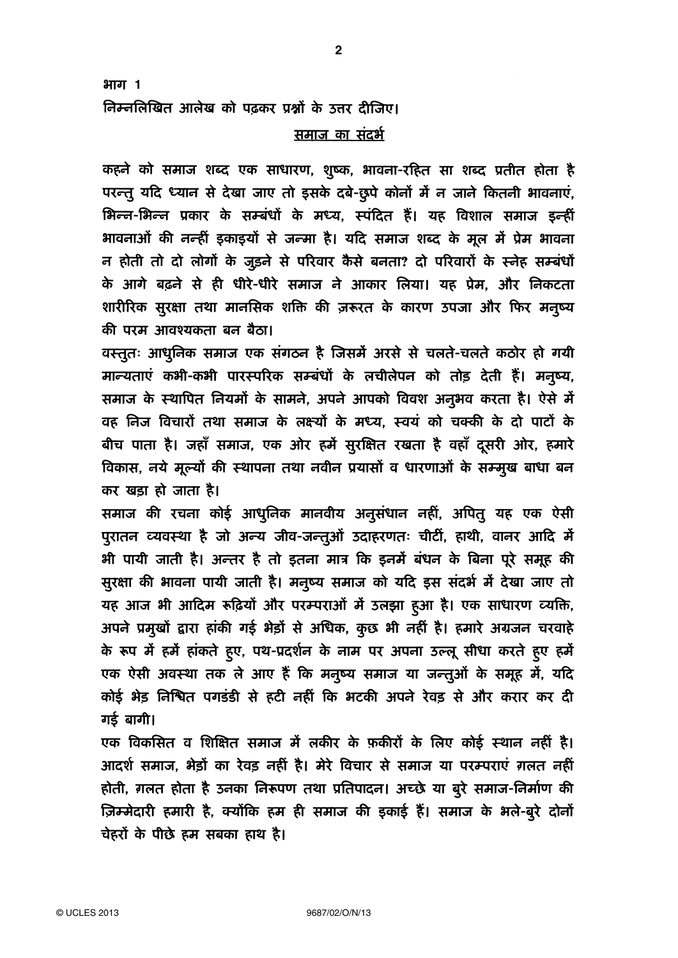$\overline{2}$ 

भाग 1

निम्नलिखित आलेख को पढकर प्रश्नों के उत्तर दीजिए।

## समाज का संदर्भ

कहने को समाज शब्द एक साधारण, शुष्क, भावना-रहित सा शब्द प्रतीत होता है परन्तू यदि ध्यान से देखा जाए तो इसके दबे-छुपे कोनों में न जाने कितनी भावनाएं. भिन्न-भिन्न प्रकार के सम्बंधों के मध्य, स्पंदित हैं। यह विशाल समाज इन्हीं भावनाओं की नन्हीं इकाइयों से जन्मा है। यदि समाज शब्द के मूल में प्रेम भावना न होती तो दो लोगों के जुड़ने से परिवार कैसे बनता? दो परिवारों के स्नेह सम्बंधों के आगे बढ़ने से ही धीरे-धीरे समाज ने आकार लिया। यह प्रेम, और निकटता शारीरिक सुरक्षा तथा मानसिक शक्ति की ज़रूरत के कारण उपजा और फिर मनुष्य की परम आवश्यकता बन बैठा।

वस्तूतः आधुनिक समाज एक संगठन है जिसमें अरसे से चलते-चलते कठोर हो गयी मान्यताएं कभी-कभी पारस्परिक सम्बंधों के लचीलेपन को तोड़ देती हैं। मनुष्य, समाज के स्थापित नियमों के सामने, अपने आपको विवश अनुभव करता है। ऐसे में वह निज विचारों तथा समाज के लक्ष्यों के मध्य, स्वयं को चक्की के दो पाटों के बीच पाता है। जहाँ समाज, एक ओर हमें सुरक्षित रखता है वहाँ दूसरी ओर, हमारे विकास, नये मूल्यों की स्थापना तथा नवीन प्रयासों व धारणाओं के सम्मूख बाधा बन कर खड़ा हो जाता है।

समाज की रचना कोई आधुनिक मानवीय अनुसंधान नहीं, अपितु यह एक ऐसी पुरातन व्यवस्था है जो अन्य जीव-जन्तुओं उदाहरणतः चीटीं, हाथी, वानर आदि में भी पायी जाती है। अन्तर है तो इतना मात्र कि इनमें बंधन के बिना पूरे समूह की सुरक्षा की भावना पायी जाती है। मनुष्य समाज को यदि इस संदर्भ में देखा जाए तो यह आज भी आदिम रूढ़ियों और परम्पराओं में उलझा हुआ है। एक साधारण व्यक्ति, अपने प्रमुखों द्वारा हांकी गई भेड़ों से अधिक, कुछ भी नहीं है। हमारे अग्रजन चरवाहे के रूप में हमें हांकते हुए, पथ-प्रदर्शन के नाम पर अपना उल्लू सीधा करते हुए हमें एक ऐसी अवस्था तक ले आए हैं कि मनुष्य समाज या जन्तुओं के समूह में, यदि कोई भेड़ निश्चित पगडंडी से हटी नहीं कि भटकी अपने रेवड़ से और करार कर दी गर्ड बागी।

एक विकसित व शिक्षित समाज में लकीर के फ़कीरों के लिए कोई स्थान नहीं है। आदर्श समाज, भेड़ों का रेवड़ नहीं है। मेरे विचार से समाज या परम्पराएं ग़लत नहीं होती, ग़लत होता है उनका निरूपण तथा प्रतिपादन। अच्छे या बुरे समाज-निर्माण की ज़िम्मेदारी हमारी है, क्योंकि हम ही समाज की इकाई हैं। समाज के भले-बुरे दोनों चेहरों के पीछे हम सबका हाथ है।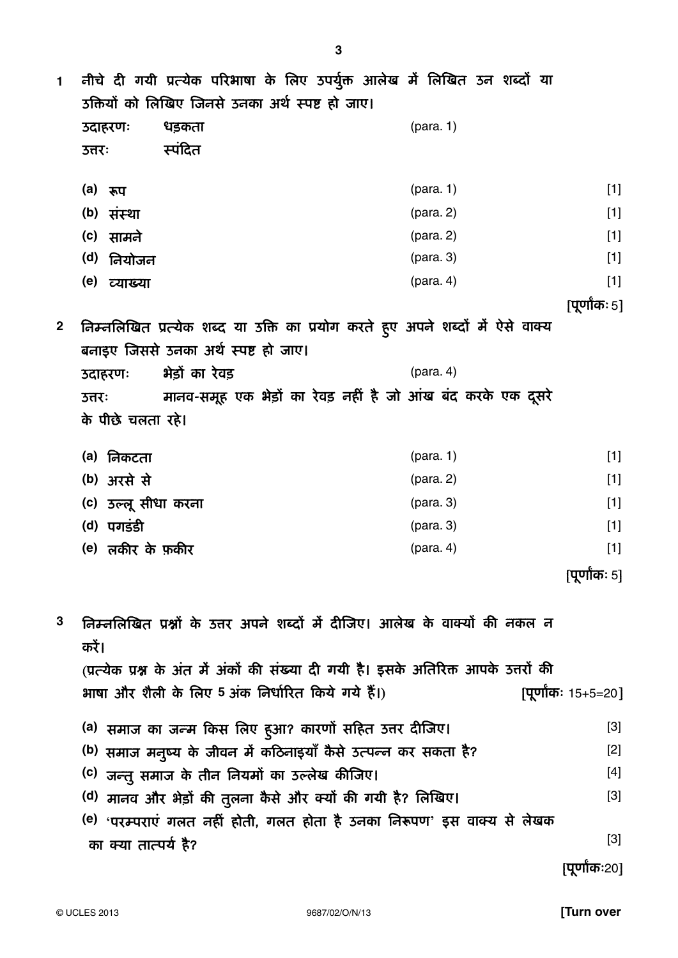| $\mathbf{1}$                                           |                                                                                      |                 | नीचे दी गयी प्रत्येक परिभाषा के लिए उपर्युक्त आलेख में लिखित उन शब्दों या    |                           |  |
|--------------------------------------------------------|--------------------------------------------------------------------------------------|-----------------|------------------------------------------------------------------------------|---------------------------|--|
|                                                        | उक्तियों को लिखिए जिनसे उनका अर्थ स्पष्ट हो जाए।                                     |                 |                                                                              |                           |  |
|                                                        | उदाहरणः<br>धडुकता                                                                    |                 |                                                                              |                           |  |
|                                                        | स्पंदित<br>उत्तरः                                                                    |                 |                                                                              |                           |  |
|                                                        | (a) रूप                                                                              |                 | (para. 1)                                                                    | $[1]$                     |  |
|                                                        | (b) संस्था                                                                           |                 | (para. 2)                                                                    | $[1]$                     |  |
|                                                        | (c) सामने                                                                            |                 |                                                                              | $[1]$                     |  |
|                                                        | (d) नियोजन                                                                           |                 | $(\text{para. 3})$                                                           | $[1]$                     |  |
|                                                        | (e) व्याख्या                                                                         |                 | (para. 4)                                                                    | $[1]$                     |  |
|                                                        |                                                                                      |                 |                                                                              | [पूर्णांकः ५]             |  |
| $\boldsymbol{2}$                                       | निम्नलिखित प्रत्येक शब्द या उक्ति का प्रयोग करते हुए अपने शब्दों में ऐसे वाक्य       |                 |                                                                              |                           |  |
|                                                        | बनाइए जिससे उनका अर्थ स्पष्ट हो जाए।                                                 |                 |                                                                              |                           |  |
|                                                        | <b>उदाहरणः</b>                                                                       | भेड़ों का रेवड़ |                                                                              |                           |  |
|                                                        | उतरः                                                                                 |                 | मानव-समूह एक भेड़ों का रेवड़ नहीं है जो आंख बंद करके एक दूसरे                |                           |  |
|                                                        | के पीछे चलता रहे।                                                                    |                 |                                                                              |                           |  |
|                                                        | (a) निकटता                                                                           |                 | (para. 1)                                                                    | $[1]$                     |  |
|                                                        | (b) अरसे से                                                                          |                 | (para. 2)                                                                    | $[1]$                     |  |
|                                                        | (c) उल्लू सीधा करना                                                                  |                 | $(\text{para. 3})$                                                           | $[1]$                     |  |
|                                                        | (d) पगडंडी                                                                           |                 | (para. 3)                                                                    | $[1]$                     |  |
|                                                        | (e) लकीर के फ़कीर                                                                    |                 | (para. 4)                                                                    | $[1]$                     |  |
|                                                        |                                                                                      |                 |                                                                              | [पूर्णांकः ५]             |  |
| 3                                                      |                                                                                      |                 | निम्नलिखित प्रश्नों के उत्तर अपने शब्दों में दीजिए। आलेख के वाक्यों की नकल न |                           |  |
|                                                        | करें।                                                                                |                 |                                                                              |                           |  |
|                                                        | (प्रत्येक प्रश्न के अंत में अंकों की संख्या दी गयी है। इसके अतिरिक्त आपके उत्तरों की |                 |                                                                              |                           |  |
| भाषा और शैली के लिए 5 अंक निर्धारित किये गये हैं।)     |                                                                                      |                 |                                                                              | <b>पूर्णांकः</b> 15+5=20] |  |
| (a) समाज का जन्म किस लिए हुआ? कारणों सहित उत्तर दीजिए। |                                                                                      |                 |                                                                              | $[3]$                     |  |
|                                                        | (b) समाज मनुष्य के जीवन में कठिनाइयाँ कैसे उत्पन्न कर सकता है?<br>$[2]$              |                 |                                                                              |                           |  |
|                                                        | <sup>(C)</sup> जन्तु समाज के तीन नियमों का उल्लेख कीजिए।                             |                 |                                                                              | $[4]$                     |  |
|                                                        | (d) मानव और भेड़ों की तुलना कैसे और क्यों की गयी है? लिखिए।<br>$[3]$                 |                 |                                                                              |                           |  |
|                                                        | <sup>(e)</sup> 'परम्पराएं गलत नहीं होती, गलत होता है उनका निरूपण' इस वाक्य से लेखक   |                 |                                                                              |                           |  |
|                                                        | का क्या तात्पर्य है?                                                                 |                 |                                                                              | $[3]$                     |  |
|                                                        |                                                                                      |                 |                                                                              | [पूर्णांकः20]             |  |

**3**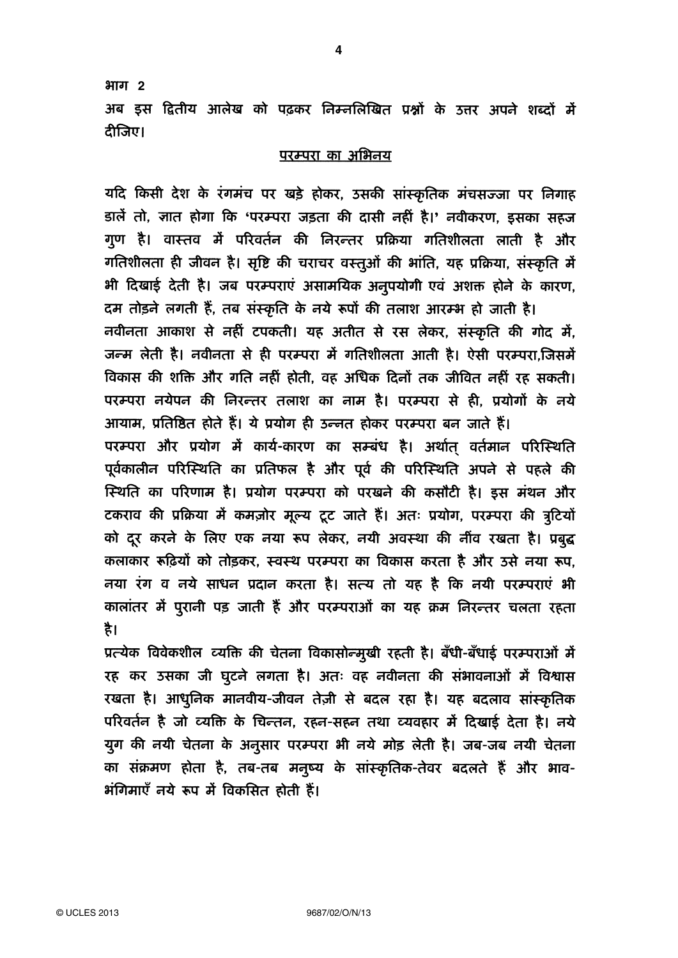$3\pi\pi$  2

अब डस द्वितीय आलेख को पढकर निम्नलिखित प्रश्नों के उत्तर अपने शब्दों में टीजिए।

#### परम्परा का अभिनय

यदि किसी देश के रंगमंच पर खड़े होकर, उसकी सांस्कृतिक मंचसज्जा पर निगाह डालें तो, ज्ञात होगा कि 'परम्परा जड़ता की दासी नहीं है।' नवीकरण, इसका सहज गूण है। वास्तव में परिवर्तन की निरन्तर प्रक्रिया गतिशीलता लाती है और गतिशीलता ही जीवन है। सृष्टि की चराचर वस्तूओं की भांति, यह प्रक्रिया, संस्कृति में भी दिखाई देती है। जब परम्पराएं असामयिक अनुपयोगी एवं अशक्त होने के कारण, दम तोड़ने लगती हैं, तब संस्कृति के नये रूपों की तलाश आरम्भ हो जाती है। नवीनता आकाश से नहीं टपकती। यह अतीत से रस लेकर, संस्कृति की गोद में. जन्म लेती है। नवीनता से ही परम्परा में गतिशीलता आती है। ऐसी परम्परा.जिसमें विकास की शक्ति और गति नहीं होती. वह अधिक दिनों तक जीवित नहीं रह सकती। परम्परा नयेपन की निरन्तर तलाश का नाम है। परम्परा से ही, प्रयोगों के नये आयाम, प्रतिष्ठित होते हैं। ये प्रयोग ही उल्लत होकर परम्परा बन जाते हैं। परम्परा और प्रयोग में कार्य-कारण का सम्बंध है। अर्थात वर्तमान परिस्थिति पूर्वकालीन परिस्थिति का प्रतिफल है और पूर्व की परिस्थिति अपने से पहले की स्थिति का परिणाम है। प्रयोग परम्परा को परखने की कसौटी है। इस मंथन और टकराव की प्रक्रिया में कमज़ोर मूल्य टूट जाते हैं। अतः प्रयोग, परम्परा की त्रूटियों को दूर करने के लिए एक नया रूप लेकर, नयी अवस्था की नींव रखता है। प्रबुद्ध कलाकार रूढियों को तोड़कर, स्वस्थ परम्परा का विकास करता है और उसे नया रूप, नया रंग व नये साधन प्रदान करता है। सत्य तो यह है कि नयी परम्पराएं भी कालांतर में पुरानी पड़ जाती हैं और परम्पराओं का यह क्रम निरन्तर चलता रहता है।

प्रत्येक विवेकशील व्यक्ति की चेतना विकासोन्मूखी रहती है। बँधी-बँधाई परम्पराओं में रह कर उसका जी घूटने लगता है। अतः वह नवीनता की संभावनाओं में विश्वास रखता है। आधुनिक मानवीय-जीवन तेज़ी से बदल रहा है। यह बदलाव सांस्कृतिक परिवर्तन है जो व्यक्ति के चिन्तन, रहन-सहन तथा व्यवहार में दिखाई देता है। नये युग की नयी चेतना के अनुसार परम्परा भी नये मोड़ लेती है। जब-जब नयी चेतना का संक्रमण होता है, तब-तब मनुष्य के सांस्कृतिक-तेवर बदलते हैं और भाव-भंगिमाएँ नये रूप में विकसित होती हैं।

© UCLES 2013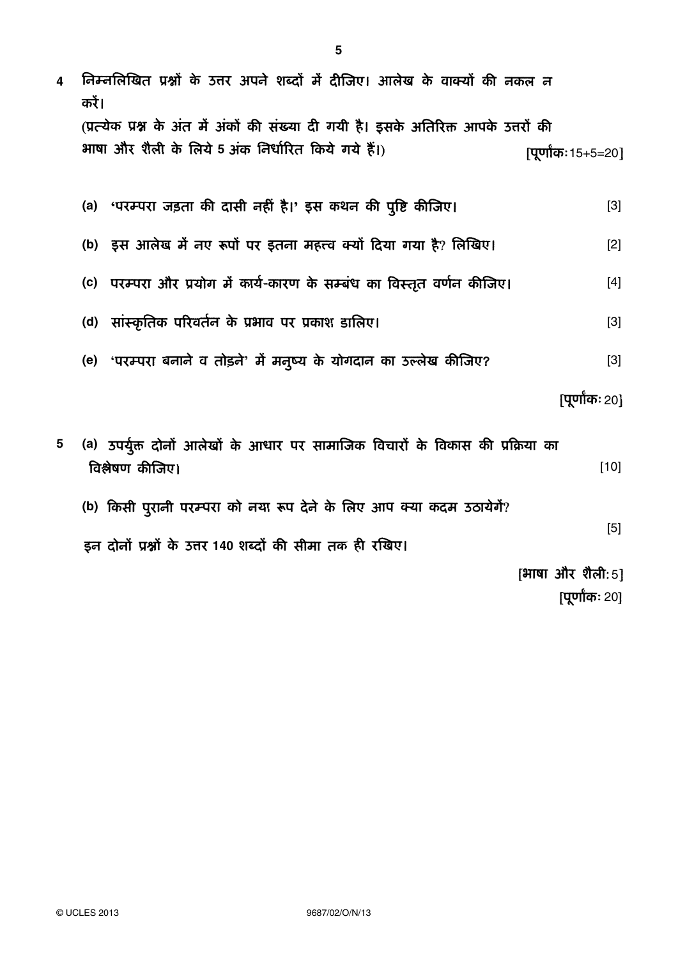| 4 | निम्नलिखित प्रश्नों के उत्तर अपने शब्दों में दीजिए। आलेख के वाक्यों की नकल न<br>करें।                                                       |                        |
|---|---------------------------------------------------------------------------------------------------------------------------------------------|------------------------|
|   | (प्रत्येक प्रश्न के अंत में अंकों की संख्या दी गयी है। इसके अतिरिक्त आपके उत्तरों की<br>भाषा और शैली के लिये 5 अंक निर्धारित किये गये हैं।) | [पूर्णांकः 15+5=20]    |
|   | (a) 'परम्परा जड़ता की दासी नहीं है।' इस कथन की पुष्टि कीजिए।                                                                                | $[3]$                  |
|   | (b)  इस आलेख में नए रूपों पर इतना महत्त्व क्यों दिया गया है? लिखिए।                                                                         | $[2]$                  |
|   | (c) परम्परा और प्रयोग में कार्य-कारण के सम्बंध का विस्तृत वर्णन कीजिए।                                                                      | $[4]$                  |
|   | (d) सांस्कृतिक परिवर्तन के प्रभाव पर प्रकाश डालिए।                                                                                          | $[3]$                  |
|   | (e) 'परम्परा बनाने व तोड़ने' में मनुष्य के योगदान का उल्लेख कीजिए?                                                                          | $[3]$                  |
|   |                                                                                                                                             | [ <b>पूर्णांकः</b> 20] |
| 5 | (a) उपर्युक्त दोनों आलेखों के आधार पर सामाजिक विचारों के विकास की प्रक्रिया का<br>विश्लेषण कीजिए।                                           | $[10]$                 |
|   | (b) किसी पुरानी परम्परा को नया रूप देने के लिए आप क्या कदम उठायेगें?                                                                        |                        |
|   |                                                                                                                                             | $[5]$                  |

इन दोनों प्रश्नों के उत्तर 140 शब्दों की सीमा तक ही रखिए।

 $[$ पूर्णांकः २०] [भाषा और शैली: 5]

**5**

© UCLES 2013 9687/02/O/N/13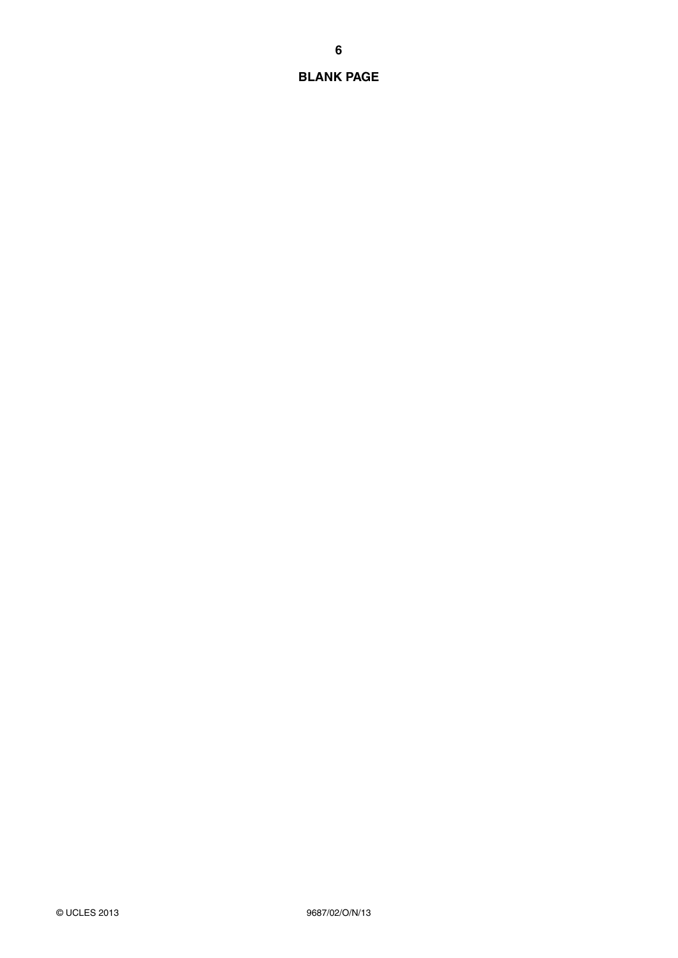# **BLANK PAGE**

**6**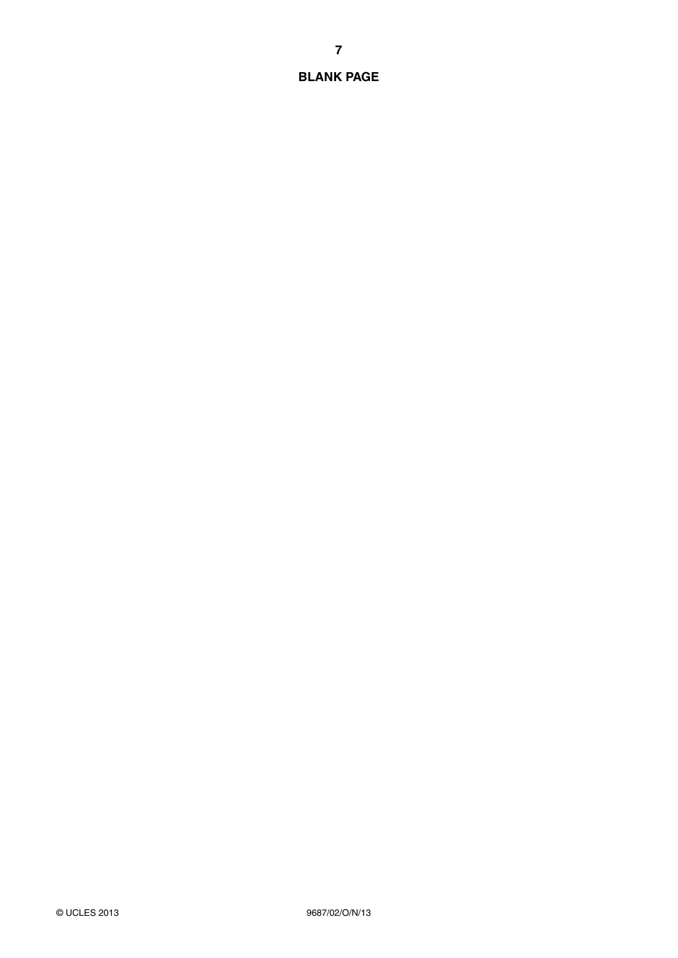# **BLANK PAGE**

**7**